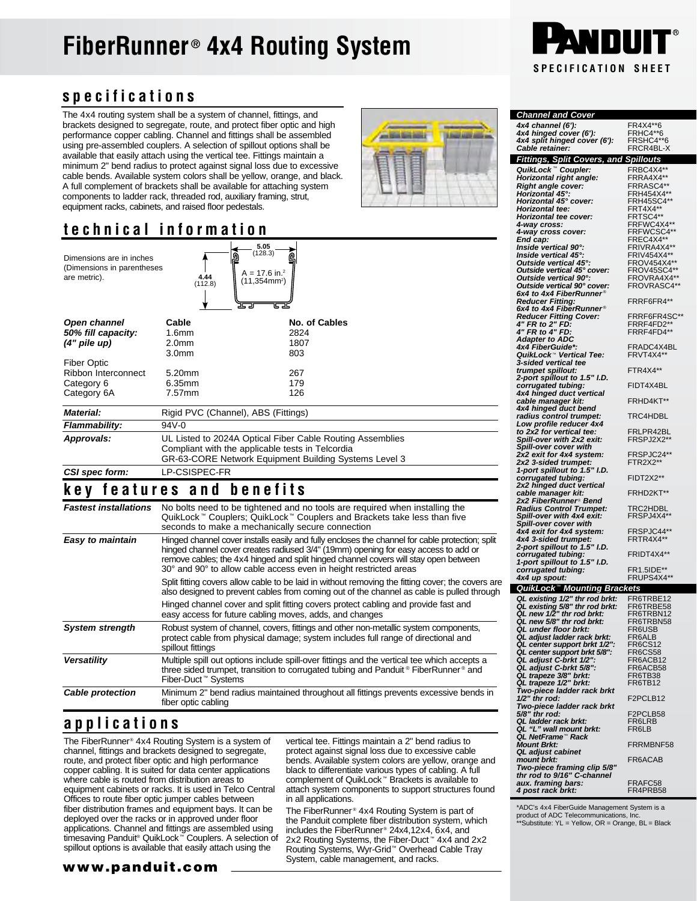# **FiberRunner<sup>®</sup> 4x4 Routing System**



### **specifications**

The 4x4 routing system shall be a system of channel, fittings, and brackets designed to segregate, route, and protect fiber optic and high performance copper cabling. Channel and fittings shall be assembled using pre-assembled couplers. A selection of spillout options shall be available that easily attach using the vertical tee. Fittings maintain a minimum 2" bend radius to protect against signal loss due to excessive cable bends. Available system colors shall be yellow, orange, and black. A full complement of brackets shall be available for attaching system components to ladder rack, threaded rod, auxiliary framing, strut, equipment racks, cabinets, and raised floor pedestals.

#### **technical information**

| Dimensions are in inches<br>(Dimensions in parentheses<br>are metric). | 4.44<br>(112.8)                                                                                                                                                        | 5.05<br>(128.3)<br>គ្ន<br>$A = 17.6$ in. <sup>2</sup><br>$(11, 354$ mm <sup>2</sup> )<br>25 Z<br>U |  |
|------------------------------------------------------------------------|------------------------------------------------------------------------------------------------------------------------------------------------------------------------|----------------------------------------------------------------------------------------------------|--|
| Open channel                                                           | Cable                                                                                                                                                                  | No. of Cables                                                                                      |  |
| 50% fill capacity:                                                     | 1.6 <sub>mm</sub>                                                                                                                                                      | 2824                                                                                               |  |
| $(4"$ pile up)                                                         | 2.0 <sub>mm</sub>                                                                                                                                                      | 1807                                                                                               |  |
|                                                                        | 3.0mm                                                                                                                                                                  | 803                                                                                                |  |
| <b>Fiber Optic</b>                                                     |                                                                                                                                                                        |                                                                                                    |  |
| Ribbon Interconnect                                                    | $5.20$ mm                                                                                                                                                              | 267                                                                                                |  |
| Category 6                                                             | 6.35mm                                                                                                                                                                 | 179                                                                                                |  |
| Category 6A                                                            | $7.57$ mm                                                                                                                                                              | 126                                                                                                |  |
| <b>Material:</b>                                                       | Rigid PVC (Channel), ABS (Fittings)                                                                                                                                    |                                                                                                    |  |
| Flammability:                                                          | $94V - 0$                                                                                                                                                              |                                                                                                    |  |
| Approvals:                                                             | UL Listed to 2024A Optical Fiber Cable Routing Assemblies<br>Compliant with the applicable tests in Telcordia<br>GR-63-CORE Network Equipment Building Systems Level 3 |                                                                                                    |  |
| CSI spec form:                                                         | <b>LP-CSISPEC-FR</b>                                                                                                                                                   |                                                                                                    |  |

#### **key features and benefits**

| <b>Fastest installations</b> | No bolts need to be tightened and no tools are required when installing the<br>QuikLock™ Couplers; QuikLock™ Couplers and Brackets take less than five<br>seconds to make a mechanically secure connection                                                                                                                                          |
|------------------------------|-----------------------------------------------------------------------------------------------------------------------------------------------------------------------------------------------------------------------------------------------------------------------------------------------------------------------------------------------------|
| Easy to maintain             | Hinged channel cover installs easily and fully encloses the channel for cable protection; split<br>hinged channel cover creates radiused 3/4" (19mm) opening for easy access to add or<br>remove cables; the 4x4 hinged and split hinged channel covers will stay open between<br>30° and 90° to allow cable access even in height restricted areas |
|                              | Split fitting covers allow cable to be laid in without removing the fitting cover; the covers are<br>also designed to prevent cables from coming out of the channel as cable is pulled through                                                                                                                                                      |
|                              | Hinged channel cover and split fitting covers protect cabling and provide fast and<br>easy access for future cabling moves, adds, and changes                                                                                                                                                                                                       |
| <b>System strength</b>       | Robust system of channel, covers, fittings and other non-metallic system components,<br>protect cable from physical damage; system includes full range of directional and<br>spillout fittings                                                                                                                                                      |
| Versatility                  | Multiple spill out options include spill-over fittings and the vertical tee which accepts a<br>three sided trumpet, transition to corrugated tubing and Panduit® FiberRunner® and<br>Fiber-Duct™ Systems                                                                                                                                            |
| <b>Cable protection</b>      | Minimum 2" bend radius maintained throughout all fittings prevents excessive bends in<br>fiber optic cabling                                                                                                                                                                                                                                        |

#### **applications**

The FiberRunner® 4x4 Routing System is a system of channel, fittings and brackets designed to segregate, route, and protect fiber optic and high performance copper cabling. It is suited for data center applications where cable is routed from distribution areas to equipment cabinets or racks. It is used in Telco Central Offices to route fiber optic jumper cables between fiber distribution frames and equipment bays. It can be deployed over the racks or in approved under floor applications. Channel and fittings are assembled using timesaving Panduit® QuikLock™ Couplers. A selection of spillout options is available that easily attach using the

vertical tee. Fittings maintain a 2" bend radius to protect against signal loss due to excessive cable bends. Available system colors are yellow, orange and black to differentiate various types of cabling. A full complement of QuikLock™ Brackets is available to attach system components to support structures found in all applications.

The FiberRunner<sup>®</sup> 4x4 Routing System is part of the Panduit complete fiber distribution system, which includes the FiberRunner<sup>®</sup> 24x4,12x4, 6x4, and 2x2 Routing Systems, the Fiber-Duct<sup>™</sup> 4x4 and 2x2 Routing Systems, Wyr-Grid™ Overhead Cable Tray System, cable management, and racks.

| <b>Channel and Cover</b>                                                                            |                            |
|-----------------------------------------------------------------------------------------------------|----------------------------|
| 4x4 channel (6'):                                                                                   | FR4X4**6                   |
| 4x4 hinged cover (6'):                                                                              | FRHC4**6<br>FRSHC4**6      |
| 4x4 split hinged cover (6'):<br>Cable retainer:                                                     | FRCR4BL-X                  |
| <b>Fittings, Split Covers, and Spillouts</b>                                                        |                            |
| QuikLock™ Coupler:                                                                                  | FRBC4X4**                  |
| Horizontal right angle:                                                                             | FRRA4X4**                  |
| <b>Right angle cover:</b>                                                                           | FRRASC4**                  |
| Horizontal 45°:<br>Horizontal 45° cover:                                                            | FRH454X4**<br>FRH45SC4**   |
| Horizontal tee:                                                                                     | FRT4X4**                   |
| Horizontal tee cover:                                                                               | FRTSC4**                   |
| 4-way cross:<br>4-way cross cover:                                                                  | FRFWC4X4**<br>FRFWCSC4**   |
| End cap:                                                                                            | FREC4X4**                  |
| Inside vertical 90°:                                                                                | FRIVRA4X4**                |
| Inside vertical 45°:<br>Outside vertical 45°:                                                       | FRIV454X4**<br>FROV454X4** |
| Outside vertical 45° cover:                                                                         | FROV45SC4**                |
| Outside vertical 90°:                                                                               | FROVRA4X4**                |
| Outside vertical 90° cover:<br>6x4 to 4x4 FiberRunner®                                              | FROVRASC4**                |
| <b>Reducer Fitting:</b>                                                                             | FRRF6FR4**                 |
| 6x4 to 4x4 FiberRunner®                                                                             |                            |
| Reducer Fitting Cover:<br>4" FR to 2" FD:                                                           | FRRF6FR4SC**<br>FRRF4FD2** |
| 4" FR to 4" FD:                                                                                     | FRRF4FD4**                 |
| Adapter to ADC                                                                                      |                            |
| 4x4 FiberGuide*:<br>QuikLock™ Vertical Tee:                                                         | FRADC4X4BL<br>FRVT4X4**    |
| 3-sided vertical tee                                                                                |                            |
| trumpet spillout:                                                                                   | FTR4X4**                   |
| 2-port spillout to 1.5" I.D.<br>corrugated tubing:                                                  | FIDT4X4BL                  |
| 4x4 hinged duct vertical                                                                            |                            |
| cable manager kit:                                                                                  | FRHD4KT**                  |
| 4x4 hinged duct bend<br>radius control trumpet:                                                     | TRC4HDBL                   |
| Low profile reducer 4x4                                                                             |                            |
| to 2x2 for vertical tee:<br>Spill-over with 2x2 exit:                                               | FRLPR42BL                  |
| Spill-over cover with                                                                               | FRSPJ2X2**                 |
| 2x2 exit for 4x4 system:                                                                            | FRSPJC24**                 |
| 2x2 3-sided trumpet:                                                                                | FTR2X2**                   |
| 1-port spillout to 1.5" I.D.<br>corrugated tubing:                                                  | FIDT2X2**                  |
| 2x2 hinged duct vertical                                                                            |                            |
| cable manager kit:                                                                                  | FRHD2KT**                  |
| 2x2 FiberRunner® Bend<br><b>Radius Control Trumpet:</b>                                             | TRC2HDBL                   |
| Spill-over with 4x4 exit:                                                                           | FRSPJ4X4**                 |
| Spill-over cover with                                                                               | FRSPJC44**                 |
| 4x4 exit for 4x4 system:<br>4x4 3-sided trumpet:                                                    | FRTR4X4**                  |
| 2-port spillout to 1.5" I.D.                                                                        |                            |
| corrugated tubing:                                                                                  | FRIDT4X4**                 |
| 1-port spillout to 1.5" I.D.<br>corrugated tubing:                                                  | FR1.5IDE**                 |
| 4x4 up spout:                                                                                       | FRUPS4X4**                 |
| QuikLock™ Mounting Brackets                                                                         |                            |
| QL existing 1/2" thr rod brkt:<br>QL existing 5/8" thr rod brkt:<br>QL new 1/2" thr rod brkt:       | FR6TRBE12                  |
|                                                                                                     | FR6TRBE58<br>FR6TRBN12     |
| QL new 5/8" thr rod brkt:                                                                           | FR6TRBN58                  |
| QL under floor brkt:                                                                                | FR6USB                     |
| QL adjust ladder rack brkt:<br>QL center support brkt 1/2":                                         | FR6ALB                     |
| QL center support brkt 5/8":                                                                        | <b>FR6CS12</b><br>FR6CS58  |
|                                                                                                     | FR6ACB12                   |
|                                                                                                     | FR6ACB58                   |
| QL adjust C-brkt 1/2":<br>QL adjust C-brkt 5/8":<br>QL adjust C-brkt 5/8":<br>QL trapeze 1/2" brkt: | FR6TB38<br>FR6TB12         |
| Two-piece ladder rack brkt<br>1/2" thr rod:                                                         |                            |
|                                                                                                     | F2PCLB12                   |
| Two-piece ladder rack brkt<br>5/8" thr rod:                                                         | F2PCLB58                   |
| QL ladder rack brkt:                                                                                | FR6LRB                     |
| QL "L" wall mount brkt:<br>QL NetFrame™ Rack                                                        | FR6LB                      |
| <b>Mount Brkt:</b>                                                                                  | FRRMBNF58                  |
| <b>QL</b> adjust cabinet                                                                            |                            |
| mount brkt:<br>Two-piece framing clip 5/8"                                                          | FR6ACAB                    |
| thr rod to 9/16" C-channel                                                                          |                            |

\*ADC's 4x4 FiberGuide Management System is a product of ADC Telecommunications, Inc. \*\*Substitute: YL = Yellow, OR = Orange, BL = Black

*aux. framing bars:* FRAFC58 *4 post rack brkt:* FR4PRB58

#### www.panduit.com